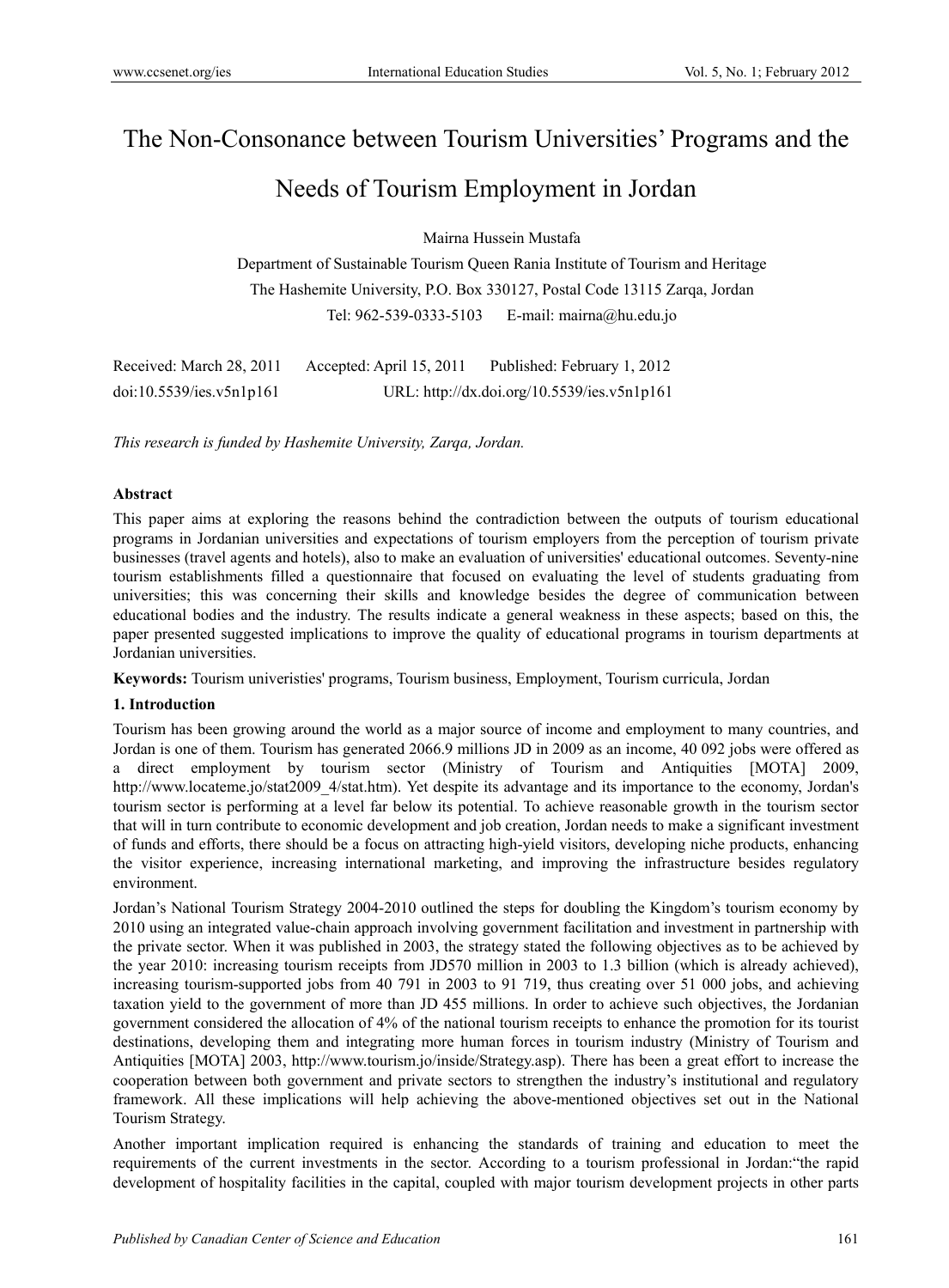# The Non-Consonance between Tourism Universities' Programs and the

# Needs of Tourism Employment in Jordan

Mairna Hussein Mustafa

Department of Sustainable Tourism Queen Rania Institute of Tourism and Heritage The Hashemite University, P.O. Box 330127, Postal Code 13115 Zarqa, Jordan

Tel: 962-539-0333-5103 E-mail: mairna@hu.edu.jo

| Received: March 28, 2011 | Accepted: April 15, 2011 | Published: February 1, 2012                 |
|--------------------------|--------------------------|---------------------------------------------|
| doi:10.5539/ies.v5n1p161 |                          | URL: http://dx.doi.org/10.5539/ies.v5n1p161 |

*This research is funded by Hashemite University, Zarqa, Jordan.* 

## **Abstract**

This paper aims at exploring the reasons behind the contradiction between the outputs of tourism educational programs in Jordanian universities and expectations of tourism employers from the perception of tourism private businesses (travel agents and hotels), also to make an evaluation of universities' educational outcomes. Seventy-nine tourism establishments filled a questionnaire that focused on evaluating the level of students graduating from universities; this was concerning their skills and knowledge besides the degree of communication between educational bodies and the industry. The results indicate a general weakness in these aspects; based on this, the paper presented suggested implications to improve the quality of educational programs in tourism departments at Jordanian universities.

**Keywords:** Tourism univeristies' programs, Tourism business, Employment, Tourism curricula, Jordan

### **1. Introduction**

Tourism has been growing around the world as a major source of income and employment to many countries, and Jordan is one of them. Tourism has generated 2066.9 millions JD in 2009 as an income, 40 092 jobs were offered as a direct employment by tourism sector (Ministry of Tourism and Antiquities [MOTA] 2009, http://www.locateme.jo/stat2009\_4/stat.htm). Yet despite its advantage and its importance to the economy, Jordan's tourism sector is performing at a level far below its potential. To achieve reasonable growth in the tourism sector that will in turn contribute to economic development and job creation, Jordan needs to make a significant investment of funds and efforts, there should be a focus on attracting high-yield visitors, developing niche products, enhancing the visitor experience, increasing international marketing, and improving the infrastructure besides regulatory environment.

Jordan's National Tourism Strategy 2004-2010 outlined the steps for doubling the Kingdom's tourism economy by 2010 using an integrated value-chain approach involving government facilitation and investment in partnership with the private sector. When it was published in 2003, the strategy stated the following objectives as to be achieved by the year 2010: increasing tourism receipts from JD570 million in 2003 to 1.3 billion (which is already achieved), increasing tourism-supported jobs from 40 791 in 2003 to 91 719, thus creating over 51 000 jobs, and achieving taxation yield to the government of more than JD 455 millions. In order to achieve such objectives, the Jordanian government considered the allocation of 4% of the national tourism receipts to enhance the promotion for its tourist destinations, developing them and integrating more human forces in tourism industry (Ministry of Tourism and Antiquities [MOTA] 2003, http://www.tourism.jo/inside/Strategy.asp). There has been a great effort to increase the cooperation between both government and private sectors to strengthen the industry's institutional and regulatory framework. All these implications will help achieving the above-mentioned objectives set out in the National Tourism Strategy.

Another important implication required is enhancing the standards of training and education to meet the requirements of the current investments in the sector. According to a tourism professional in Jordan:"the rapid development of hospitality facilities in the capital, coupled with major tourism development projects in other parts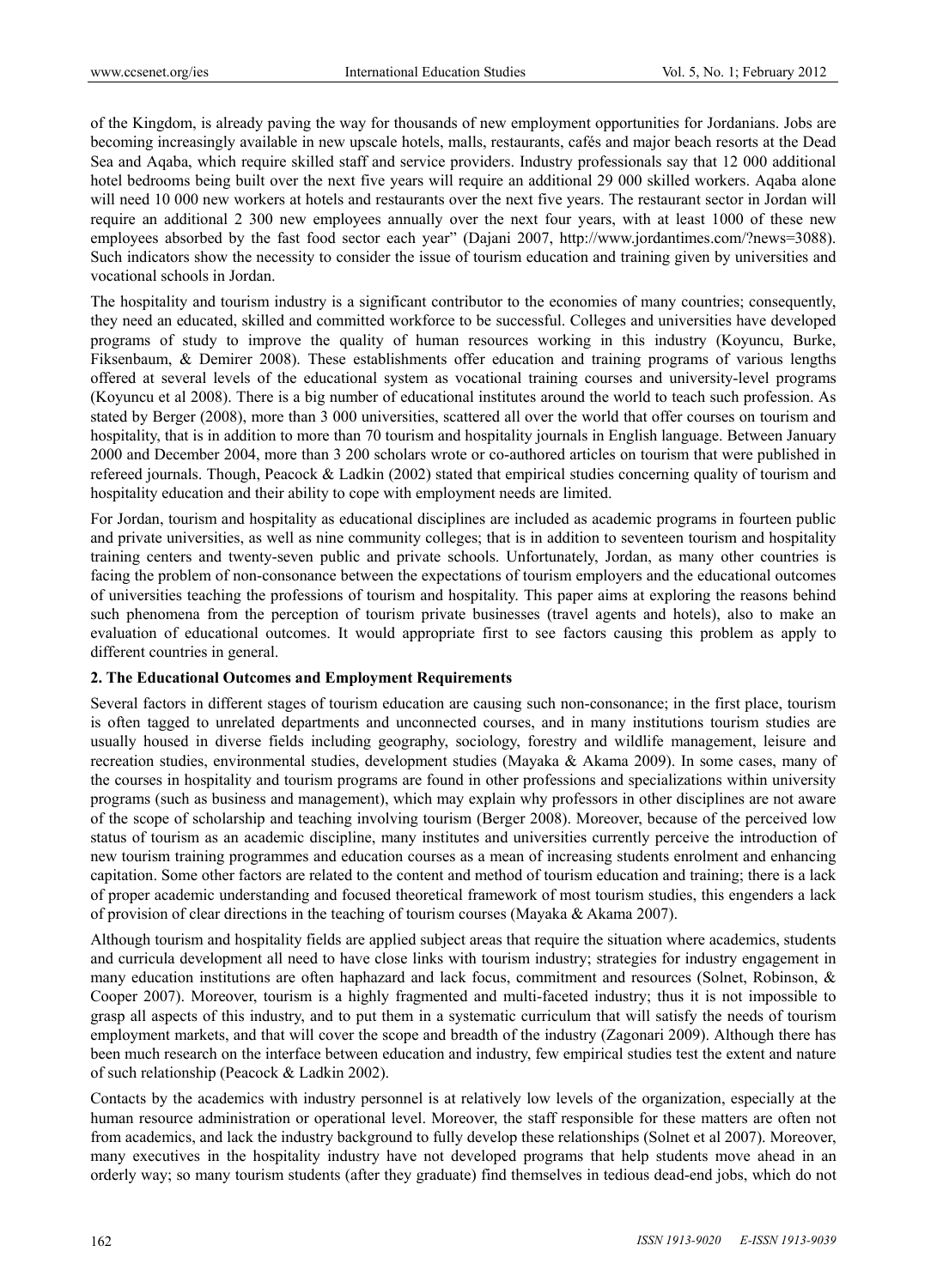of the Kingdom, is already paving the way for thousands of new employment opportunities for Jordanians. Jobs are becoming increasingly available in new upscale hotels, malls, restaurants, cafés and major beach resorts at the Dead Sea and Aqaba, which require skilled staff and service providers. Industry professionals say that 12 000 additional hotel bedrooms being built over the next five years will require an additional 29 000 skilled workers. Aqaba alone will need 10 000 new workers at hotels and restaurants over the next five years. The restaurant sector in Jordan will require an additional 2 300 new employees annually over the next four years, with at least 1000 of these new employees absorbed by the fast food sector each year" (Dajani 2007, http://www.jordantimes.com/?news=3088). Such indicators show the necessity to consider the issue of tourism education and training given by universities and vocational schools in Jordan.

The hospitality and tourism industry is a significant contributor to the economies of many countries; consequently, they need an educated, skilled and committed workforce to be successful. Colleges and universities have developed programs of study to improve the quality of human resources working in this industry (Koyuncu, Burke, Fiksenbaum, & Demirer 2008). These establishments offer education and training programs of various lengths offered at several levels of the educational system as vocational training courses and university-level programs (Koyuncu et al 2008). There is a big number of educational institutes around the world to teach such profession. As stated by Berger (2008), more than 3 000 universities, scattered all over the world that offer courses on tourism and hospitality, that is in addition to more than 70 tourism and hospitality journals in English language. Between January 2000 and December 2004, more than 3 200 scholars wrote or co-authored articles on tourism that were published in refereed journals. Though, Peacock & Ladkin (2002) stated that empirical studies concerning quality of tourism and hospitality education and their ability to cope with employment needs are limited.

For Jordan, tourism and hospitality as educational disciplines are included as academic programs in fourteen public and private universities, as well as nine community colleges; that is in addition to seventeen tourism and hospitality training centers and twenty-seven public and private schools. Unfortunately, Jordan, as many other countries is facing the problem of non-consonance between the expectations of tourism employers and the educational outcomes of universities teaching the professions of tourism and hospitality. This paper aims at exploring the reasons behind such phenomena from the perception of tourism private businesses (travel agents and hotels), also to make an evaluation of educational outcomes. It would appropriate first to see factors causing this problem as apply to different countries in general.

### **2. The Educational Outcomes and Employment Requirements**

Several factors in different stages of tourism education are causing such non-consonance; in the first place, tourism is often tagged to unrelated departments and unconnected courses, and in many institutions tourism studies are usually housed in diverse fields including geography, sociology, forestry and wildlife management, leisure and recreation studies, environmental studies, development studies (Mayaka & Akama 2009). In some cases, many of the courses in hospitality and tourism programs are found in other professions and specializations within university programs (such as business and management), which may explain why professors in other disciplines are not aware of the scope of scholarship and teaching involving tourism (Berger 2008). Moreover, because of the perceived low status of tourism as an academic discipline, many institutes and universities currently perceive the introduction of new tourism training programmes and education courses as a mean of increasing students enrolment and enhancing capitation. Some other factors are related to the content and method of tourism education and training; there is a lack of proper academic understanding and focused theoretical framework of most tourism studies, this engenders a lack of provision of clear directions in the teaching of tourism courses (Mayaka & Akama 2007).

Although tourism and hospitality fields are applied subject areas that require the situation where academics, students and curricula development all need to have close links with tourism industry; strategies for industry engagement in many education institutions are often haphazard and lack focus, commitment and resources (Solnet, Robinson, & Cooper 2007). Moreover, tourism is a highly fragmented and multi-faceted industry; thus it is not impossible to grasp all aspects of this industry, and to put them in a systematic curriculum that will satisfy the needs of tourism employment markets, and that will cover the scope and breadth of the industry (Zagonari 2009). Although there has been much research on the interface between education and industry, few empirical studies test the extent and nature of such relationship (Peacock & Ladkin 2002).

Contacts by the academics with industry personnel is at relatively low levels of the organization, especially at the human resource administration or operational level. Moreover, the staff responsible for these matters are often not from academics, and lack the industry background to fully develop these relationships (Solnet et al 2007). Moreover, many executives in the hospitality industry have not developed programs that help students move ahead in an orderly way; so many tourism students (after they graduate) find themselves in tedious dead-end jobs, which do not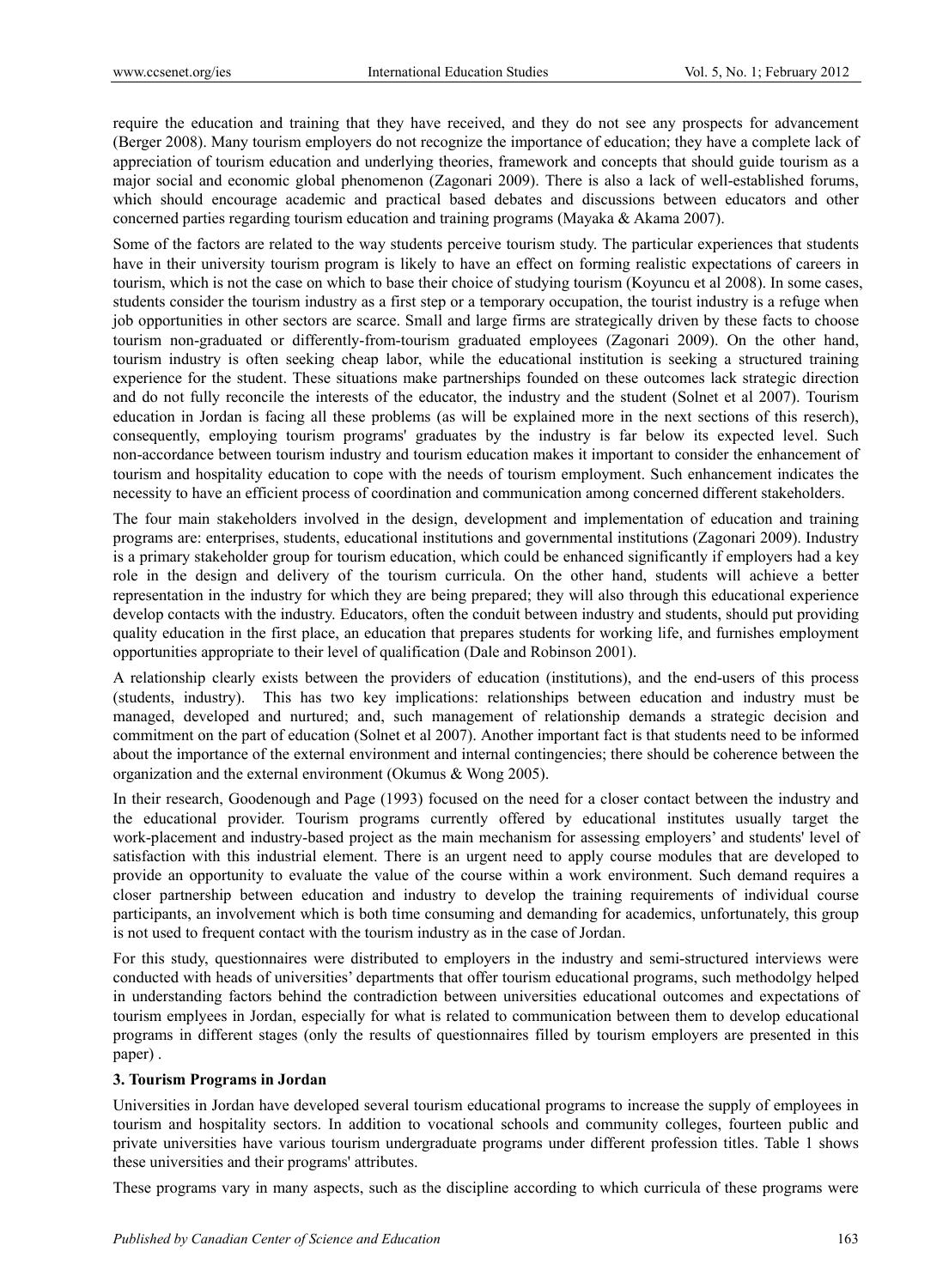require the education and training that they have received, and they do not see any prospects for advancement (Berger 2008). Many tourism employers do not recognize the importance of education; they have a complete lack of appreciation of tourism education and underlying theories, framework and concepts that should guide tourism as a major social and economic global phenomenon (Zagonari 2009). There is also a lack of well-established forums, which should encourage academic and practical based debates and discussions between educators and other concerned parties regarding tourism education and training programs (Mayaka & Akama 2007).

Some of the factors are related to the way students perceive tourism study. The particular experiences that students have in their university tourism program is likely to have an effect on forming realistic expectations of careers in tourism, which is not the case on which to base their choice of studying tourism (Koyuncu et al 2008). In some cases, students consider the tourism industry as a first step or a temporary occupation, the tourist industry is a refuge when job opportunities in other sectors are scarce. Small and large firms are strategically driven by these facts to choose tourism non-graduated or differently-from-tourism graduated employees (Zagonari 2009). On the other hand, tourism industry is often seeking cheap labor, while the educational institution is seeking a structured training experience for the student. These situations make partnerships founded on these outcomes lack strategic direction and do not fully reconcile the interests of the educator, the industry and the student (Solnet et al 2007). Tourism education in Jordan is facing all these problems (as will be explained more in the next sections of this reserch), consequently, employing tourism programs' graduates by the industry is far below its expected level. Such non-accordance between tourism industry and tourism education makes it important to consider the enhancement of tourism and hospitality education to cope with the needs of tourism employment. Such enhancement indicates the necessity to have an efficient process of coordination and communication among concerned different stakeholders.

The four main stakeholders involved in the design, development and implementation of education and training programs are: enterprises, students, educational institutions and governmental institutions (Zagonari 2009). Industry is a primary stakeholder group for tourism education, which could be enhanced significantly if employers had a key role in the design and delivery of the tourism curricula. On the other hand, students will achieve a better representation in the industry for which they are being prepared; they will also through this educational experience develop contacts with the industry. Educators, often the conduit between industry and students, should put providing quality education in the first place, an education that prepares students for working life, and furnishes employment opportunities appropriate to their level of qualification (Dale and Robinson 2001).

A relationship clearly exists between the providers of education (institutions), and the end-users of this process (students, industry). This has two key implications: relationships between education and industry must be managed, developed and nurtured; and, such management of relationship demands a strategic decision and commitment on the part of education (Solnet et al 2007). Another important fact is that students need to be informed about the importance of the external environment and internal contingencies; there should be coherence between the organization and the external environment (Okumus & Wong 2005).

In their research, Goodenough and Page (1993) focused on the need for a closer contact between the industry and the educational provider. Tourism programs currently offered by educational institutes usually target the work-placement and industry-based project as the main mechanism for assessing employers' and students' level of satisfaction with this industrial element. There is an urgent need to apply course modules that are developed to provide an opportunity to evaluate the value of the course within a work environment. Such demand requires a closer partnership between education and industry to develop the training requirements of individual course participants, an involvement which is both time consuming and demanding for academics, unfortunately, this group is not used to frequent contact with the tourism industry as in the case of Jordan.

For this study, questionnaires were distributed to employers in the industry and semi-structured interviews were conducted with heads of universities' departments that offer tourism educational programs, such methodolgy helped in understanding factors behind the contradiction between universities educational outcomes and expectations of tourism emplyees in Jordan, especially for what is related to communication between them to develop educational programs in different stages (only the results of questionnaires filled by tourism employers are presented in this paper) .

### **3. Tourism Programs in Jordan**

Universities in Jordan have developed several tourism educational programs to increase the supply of employees in tourism and hospitality sectors. In addition to vocational schools and community colleges, fourteen public and private universities have various tourism undergraduate programs under different profession titles. Table 1 shows these universities and their programs' attributes.

These programs vary in many aspects, such as the discipline according to which curricula of these programs were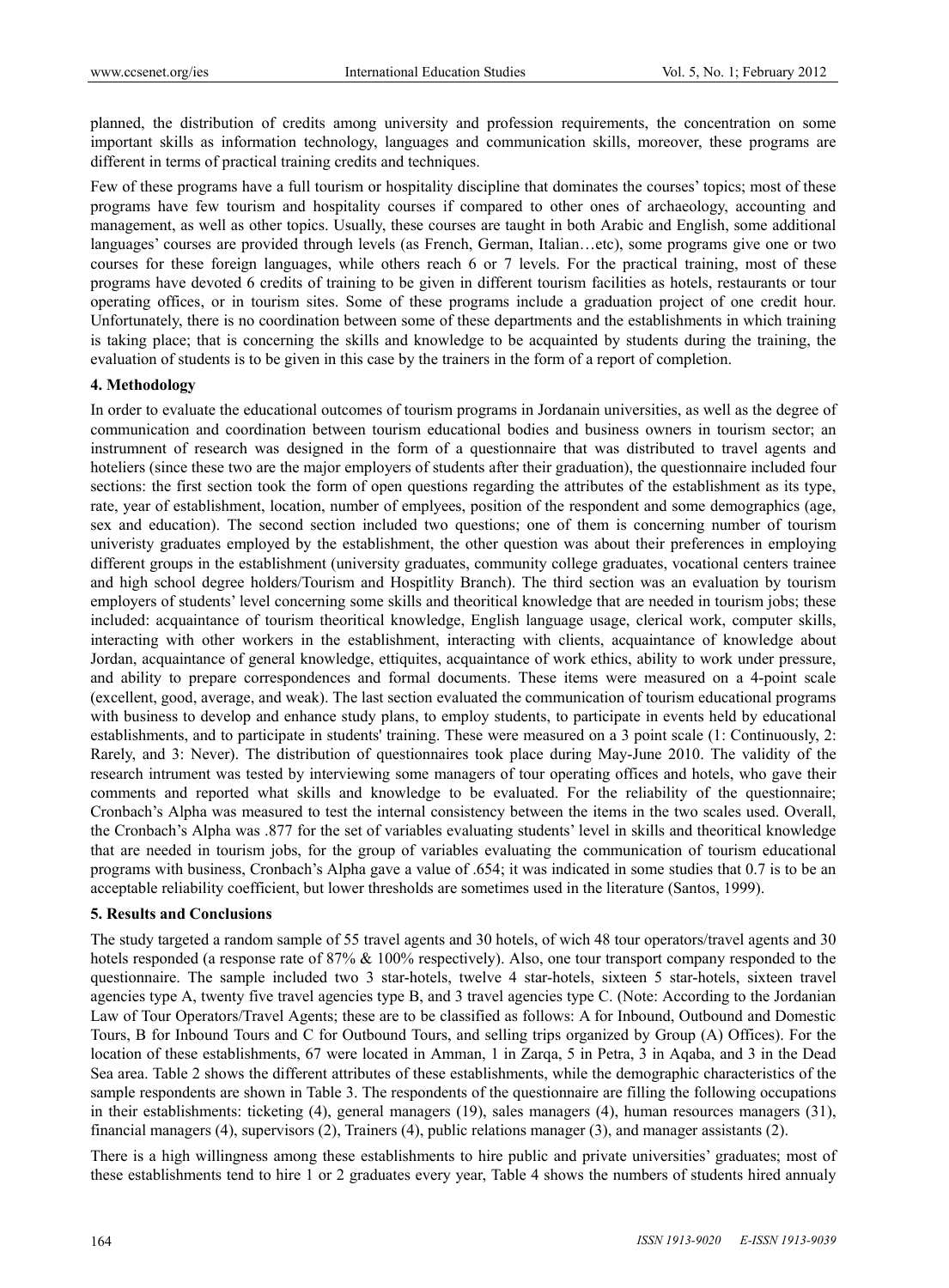planned, the distribution of credits among university and profession requirements, the concentration on some important skills as information technology, languages and communication skills, moreover, these programs are different in terms of practical training credits and techniques.

Few of these programs have a full tourism or hospitality discipline that dominates the courses' topics; most of these programs have few tourism and hospitality courses if compared to other ones of archaeology, accounting and management, as well as other topics. Usually, these courses are taught in both Arabic and English, some additional languages' courses are provided through levels (as French, German, Italian…etc), some programs give one or two courses for these foreign languages, while others reach 6 or 7 levels. For the practical training, most of these programs have devoted 6 credits of training to be given in different tourism facilities as hotels, restaurants or tour operating offices, or in tourism sites. Some of these programs include a graduation project of one credit hour. Unfortunately, there is no coordination between some of these departments and the establishments in which training is taking place; that is concerning the skills and knowledge to be acquainted by students during the training, the evaluation of students is to be given in this case by the trainers in the form of a report of completion.

#### **4. Methodology**

In order to evaluate the educational outcomes of tourism programs in Jordanain universities, as well as the degree of communication and coordination between tourism educational bodies and business owners in tourism sector; an instrumnent of research was designed in the form of a questionnaire that was distributed to travel agents and hoteliers (since these two are the major employers of students after their graduation), the questionnaire included four sections: the first section took the form of open questions regarding the attributes of the establishment as its type, rate, year of establishment, location, number of emplyees, position of the respondent and some demographics (age, sex and education). The second section included two questions; one of them is concerning number of tourism univeristy graduates employed by the establishment, the other question was about their preferences in employing different groups in the establishment (university graduates, community college graduates, vocational centers trainee and high school degree holders/Tourism and Hospitlity Branch). The third section was an evaluation by tourism employers of students' level concerning some skills and theoritical knowledge that are needed in tourism jobs; these included: acquaintance of tourism theoritical knowledge, English language usage, clerical work, computer skills, interacting with other workers in the establishment, interacting with clients, acquaintance of knowledge about Jordan, acquaintance of general knowledge, ettiquites, acquaintance of work ethics, ability to work under pressure, and ability to prepare correspondences and formal documents. These items were measured on a 4-point scale (excellent, good, average, and weak). The last section evaluated the communication of tourism educational programs with business to develop and enhance study plans, to employ students, to participate in events held by educational establishments, and to participate in students' training. These were measured on a 3 point scale (1: Continuously, 2: Rarely, and 3: Never). The distribution of questionnaires took place during May-June 2010. The validity of the research intrument was tested by interviewing some managers of tour operating offices and hotels, who gave their comments and reported what skills and knowledge to be evaluated. For the reliability of the questionnaire; Cronbach's Alpha was measured to test the internal consistency between the items in the two scales used. Overall, the Cronbach's Alpha was .877 for the set of variables evaluating students' level in skills and theoritical knowledge that are needed in tourism jobs, for the group of variables evaluating the communication of tourism educational programs with business, Cronbach's Alpha gave a value of .654; it was indicated in some studies that 0.7 is to be an acceptable reliability coefficient, but lower thresholds are sometimes used in the literature (Santos, 1999).

#### **5. Results and Conclusions**

The study targeted a random sample of 55 travel agents and 30 hotels, of wich 48 tour operators/travel agents and 30 hotels responded (a response rate of 87% & 100% respectively). Also, one tour transport company responded to the questionnaire. The sample included two 3 star-hotels, twelve 4 star-hotels, sixteen 5 star-hotels, sixteen travel agencies type A, twenty five travel agencies type B, and 3 travel agencies type C. (Note: According to the Jordanian Law of Tour Operators/Travel Agents; these are to be classified as follows: A for Inbound, Outbound and Domestic Tours, B for Inbound Tours and C for Outbound Tours, and selling trips organized by Group (A) Offices). For the location of these establishments, 67 were located in Amman, 1 in Zarqa, 5 in Petra, 3 in Aqaba, and 3 in the Dead Sea area. Table 2 shows the different attributes of these establishments, while the demographic characteristics of the sample respondents are shown in Table 3. The respondents of the questionnaire are filling the following occupations in their establishments: ticketing (4), general managers (19), sales managers (4), human resources managers (31), financial managers (4), supervisors (2), Trainers (4), public relations manager (3), and manager assistants (2).

There is a high willingness among these establishments to hire public and private universities' graduates; most of these establishments tend to hire 1 or 2 graduates every year, Table 4 shows the numbers of students hired annualy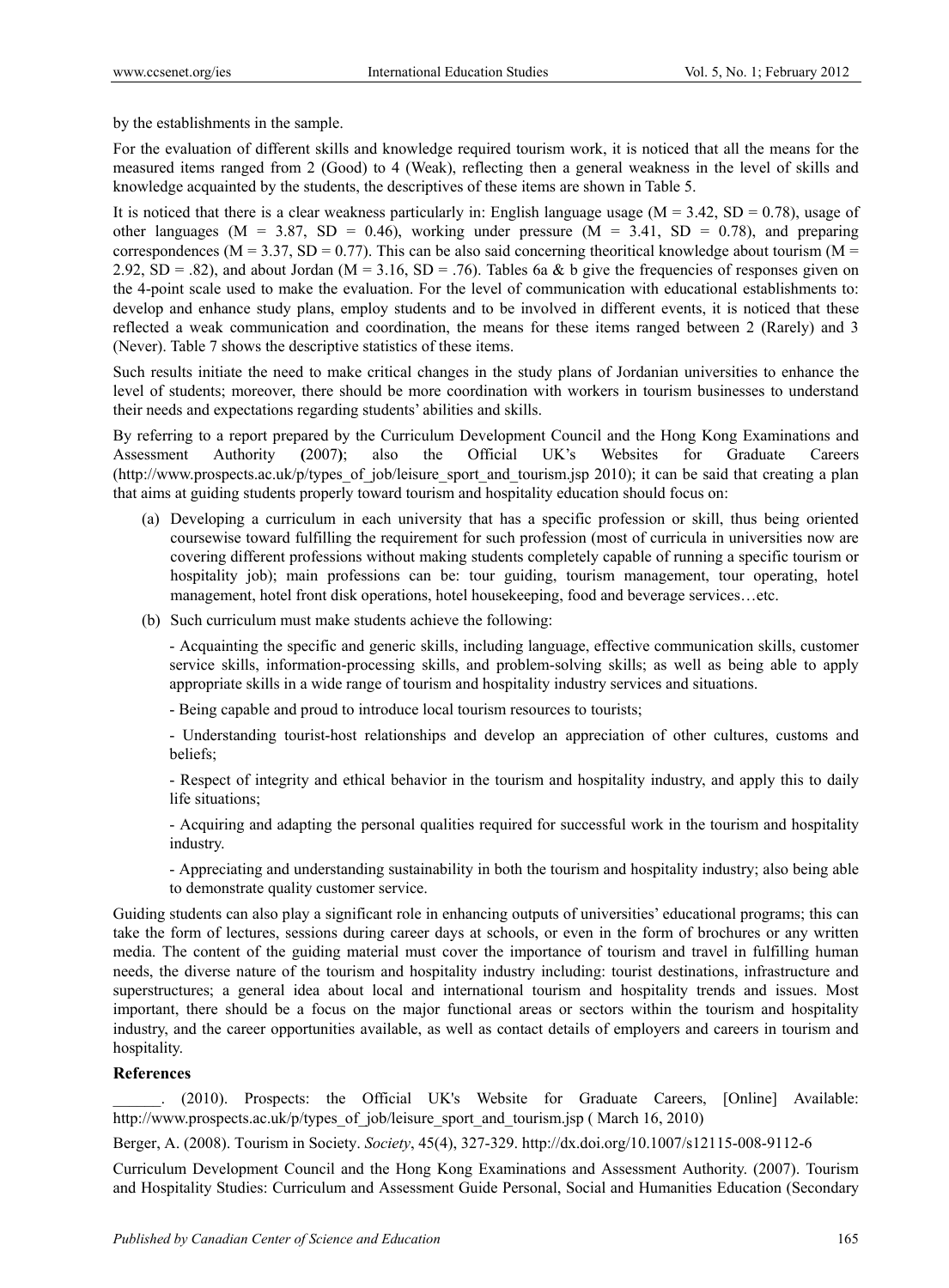by the establishments in the sample.

For the evaluation of different skills and knowledge required tourism work, it is noticed that all the means for the measured items ranged from 2 (Good) to 4 (Weak), reflecting then a general weakness in the level of skills and knowledge acquainted by the students, the descriptives of these items are shown in Table 5.

It is noticed that there is a clear weakness particularly in: English language usage  $(M = 3.42, SD = 0.78)$ , usage of other languages ( $M = 3.87$ ,  $SD = 0.46$ ), working under pressure ( $M = 3.41$ ,  $SD = 0.78$ ), and preparing correspondences (M = 3.37, SD = 0.77). This can be also said concerning theoritical knowledge about tourism (M = 2.92, SD = .82), and about Jordan (M = 3.16, SD = .76). Tables 6a & b give the frequencies of responses given on the 4-point scale used to make the evaluation. For the level of communication with educational establishments to: develop and enhance study plans, employ students and to be involved in different events, it is noticed that these reflected a weak communication and coordination, the means for these items ranged between 2 (Rarely) and 3 (Never). Table 7 shows the descriptive statistics of these items.

Such results initiate the need to make critical changes in the study plans of Jordanian universities to enhance the level of students; moreover, there should be more coordination with workers in tourism businesses to understand their needs and expectations regarding students' abilities and skills.

By referring to a report prepared by the Curriculum Development Council and the Hong Kong Examinations and Assessment Authority **(**2007**)**; also the Official UK's Websites for Graduate Careers (http://www.prospects.ac.uk/p/types of job/leisure sport and tourism.jsp 2010); it can be said that creating a plan that aims at guiding students properly toward tourism and hospitality education should focus on:

- (a) Developing a curriculum in each university that has a specific profession or skill, thus being oriented coursewise toward fulfilling the requirement for such profession (most of curricula in universities now are covering different professions without making students completely capable of running a specific tourism or hospitality job); main professions can be: tour guiding, tourism management, tour operating, hotel management, hotel front disk operations, hotel housekeeping, food and beverage services…etc.
- (b) Such curriculum must make students achieve the following:

- Acquainting the specific and generic skills, including language, effective communication skills, customer service skills, information-processing skills, and problem-solving skills; as well as being able to apply appropriate skills in a wide range of tourism and hospitality industry services and situations.

- Being capable and proud to introduce local tourism resources to tourists;

- Understanding tourist-host relationships and develop an appreciation of other cultures, customs and beliefs;

- Respect of integrity and ethical behavior in the tourism and hospitality industry, and apply this to daily life situations;

- Acquiring and adapting the personal qualities required for successful work in the tourism and hospitality industry.

- Appreciating and understanding sustainability in both the tourism and hospitality industry; also being able to demonstrate quality customer service.

Guiding students can also play a significant role in enhancing outputs of universities' educational programs; this can take the form of lectures, sessions during career days at schools, or even in the form of brochures or any written media. The content of the guiding material must cover the importance of tourism and travel in fulfilling human needs, the diverse nature of the tourism and hospitality industry including: tourist destinations, infrastructure and superstructures; a general idea about local and international tourism and hospitality trends and issues. Most important, there should be a focus on the major functional areas or sectors within the tourism and hospitality industry, and the career opportunities available, as well as contact details of employers and careers in tourism and hospitality.

## **References**

\_\_\_\_\_\_. (2010). Prospects: the Official UK's Website for Graduate Careers, [Online] Available: http://www.prospects.ac.uk/p/types\_of\_job/leisure\_sport\_and\_tourism.jsp ( March 16, 2010)

Berger, A. (2008). Tourism in Society. *Society*, 45(4), 327-329. http://dx.doi.org/10.1007/s12115-008-9112-6

Curriculum Development Council and the Hong Kong Examinations and Assessment Authority. (2007). Tourism and Hospitality Studies: Curriculum and Assessment Guide Personal, Social and Humanities Education (Secondary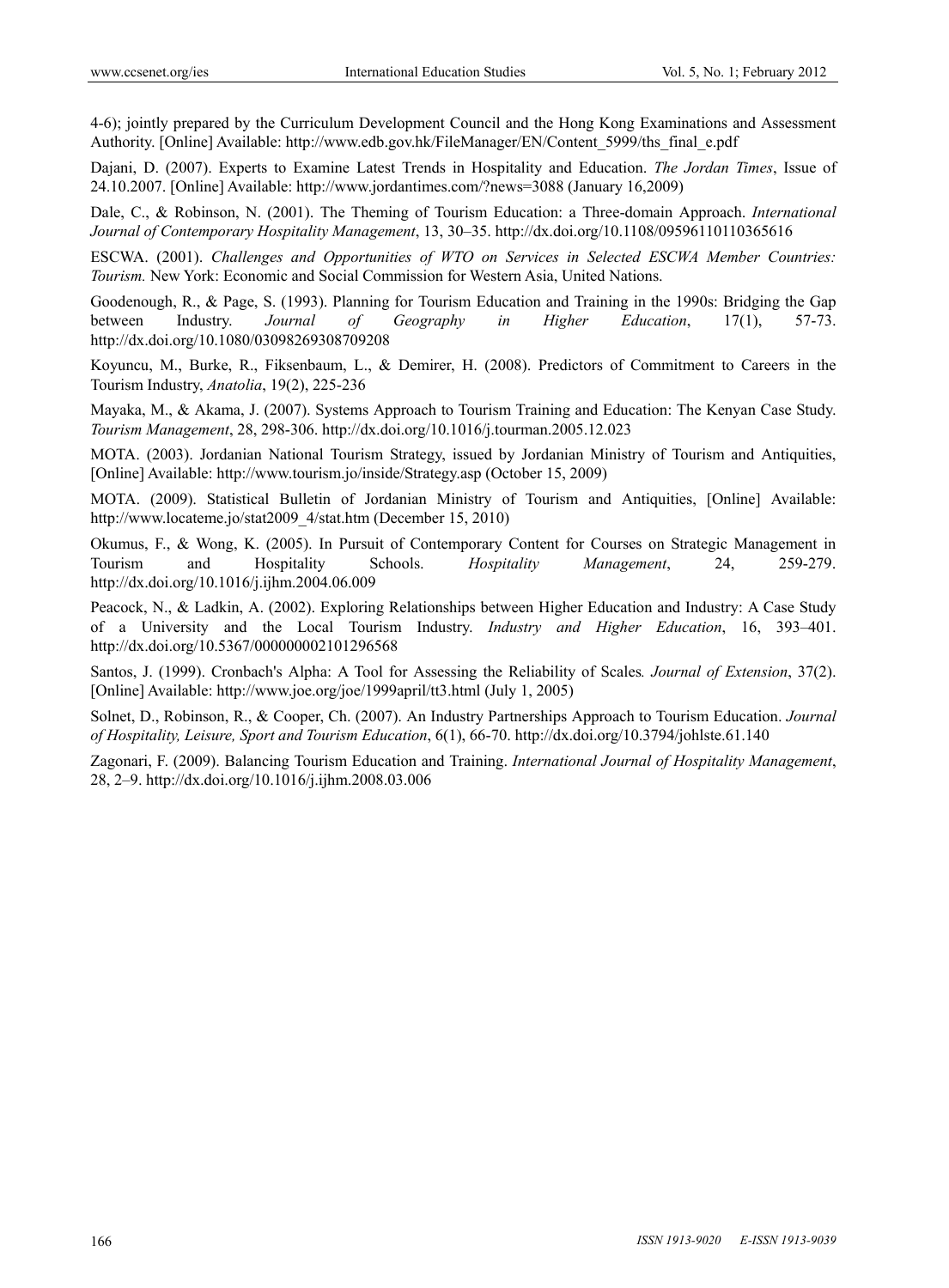4-6); jointly prepared by the Curriculum Development Council and the Hong Kong Examinations and Assessment Authority. [Online] Available: http://www.edb.gov.hk/FileManager/EN/Content\_5999/ths\_final\_e.pdf

Dajani, D. (2007). Experts to Examine Latest Trends in Hospitality and Education. *The Jordan Times*, Issue of 24.10.2007. [Online] Available: http://www.jordantimes.com/?news=3088 (January 16,2009)

Dale, C., & Robinson, N. (2001). The Theming of Tourism Education: a Three-domain Approach. *International Journal of Contemporary Hospitality Management*, 13, 30–35. http://dx.doi.org/10.1108/09596110110365616

ESCWA. (2001). *Challenges and Opportunities of WTO on Services in Selected ESCWA Member Countries: Tourism.* New York: Economic and Social Commission for Western Asia, United Nations.

Goodenough, R., & Page, S. (1993). Planning for Tourism Education and Training in the 1990s: Bridging the Gap between Industry. *Journal of Geography in Higher Education*, 17(1), 57-73. http://dx.doi.org/10.1080/03098269308709208

Koyuncu, M., Burke, R., Fiksenbaum, L., & Demirer, H. (2008). Predictors of Commitment to Careers in the Tourism Industry, *Anatolia*, 19(2), 225-236

Mayaka, M., & Akama, J. (2007). Systems Approach to Tourism Training and Education: The Kenyan Case Study. *Tourism Management*, 28, 298-306. http://dx.doi.org/10.1016/j.tourman.2005.12.023

MOTA. (2003). Jordanian National Tourism Strategy, issued by Jordanian Ministry of Tourism and Antiquities, [Online] Available: http://www.tourism.jo/inside/Strategy.asp (October 15, 2009)

MOTA. (2009). Statistical Bulletin of Jordanian Ministry of Tourism and Antiquities, [Online] Available: http://www.locateme.jo/stat2009\_4/stat.htm (December 15, 2010)

Okumus, F., & Wong, K. (2005). In Pursuit of Contemporary Content for Courses on Strategic Management in Tourism and Hospitality Schools. *Hospitality Management*, 24, 259-279. http://dx.doi.org/10.1016/j.ijhm.2004.06.009

Peacock, N., & Ladkin, A. (2002). Exploring Relationships between Higher Education and Industry: A Case Study of a University and the Local Tourism Industry. *Industry and Higher Education*, 16, 393–401. http://dx.doi.org/10.5367/000000002101296568

Santos, J. (1999). Cronbach's Alpha: A Tool for Assessing the Reliability of Scales*. Journal of Extension*, 37(2). [Online] Available: http://www.joe.org/joe/1999april/tt3.html (July 1, 2005)

Solnet, D., Robinson, R., & Cooper, Ch. (2007). An Industry Partnerships Approach to Tourism Education. *Journal of Hospitality, Leisure, Sport and Tourism Education*, 6(1), 66-70. http://dx.doi.org/10.3794/johlste.61.140

Zagonari, F. (2009). Balancing Tourism Education and Training. *International Journal of Hospitality Management*, 28, 2–9. http://dx.doi.org/10.1016/j.ijhm.2008.03.006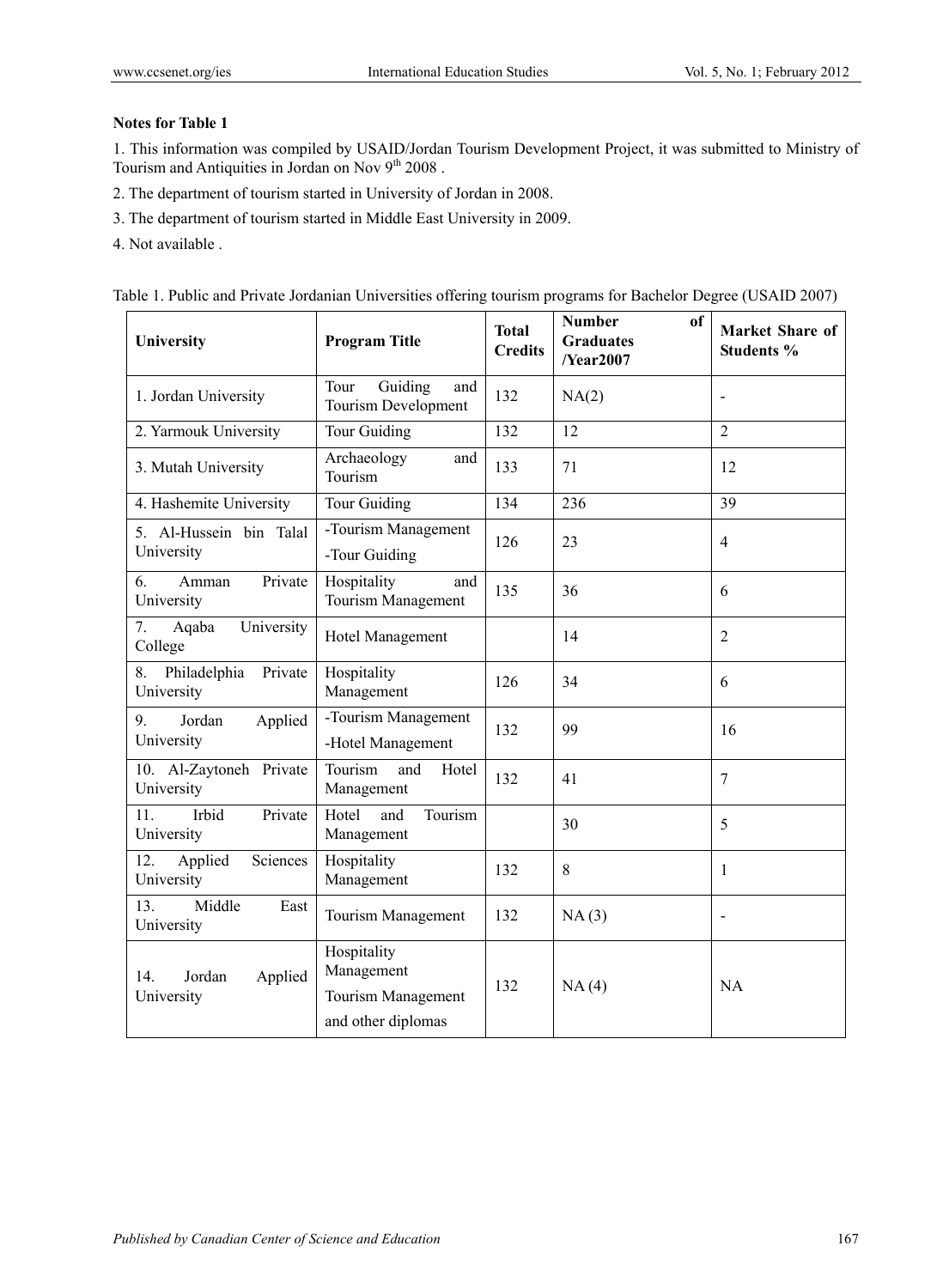## **Notes for Table 1**

1. This information was compiled by USAID/Jordan Tourism Development Project, it was submitted to Ministry of Tourism and Antiquities in Jordan on Nov  $9<sup>th</sup> 2008$ .

- 2. The department of tourism started in University of Jordan in 2008.
- 3. The department of tourism started in Middle East University in 2009.
- 4. Not available .

|  |  |  |  |  | Table 1. Public and Private Jordanian Universities offering tourism programs for Bachelor Degree (USAID 2007) |  |
|--|--|--|--|--|---------------------------------------------------------------------------------------------------------------|--|
|  |  |  |  |  |                                                                                                               |  |

| University                                  | <b>Program Title</b>                          | <b>Total</b><br><b>Credits</b> | <b>Number</b><br>of<br><b>Graduates</b><br>/Year2007 | <b>Market Share of</b><br>Students % |
|---------------------------------------------|-----------------------------------------------|--------------------------------|------------------------------------------------------|--------------------------------------|
| 1. Jordan University                        | Guiding<br>Tour<br>and<br>Tourism Development | 132                            | NA(2)                                                | $\blacksquare$                       |
| 2. Yarmouk University                       | Tour Guiding                                  | 132                            | 12                                                   | $\overline{2}$                       |
| 3. Mutah University                         | Archaeology<br>and<br>Tourism                 | 133                            | 71                                                   | 12                                   |
| 4. Hashemite University                     | Tour Guiding                                  | 134                            | 236                                                  | 39                                   |
| 5. Al-Hussein bin Talal<br>University       | -Tourism Management<br>-Tour Guiding          | 126                            | 23                                                   | $\overline{4}$                       |
| Private<br>6.<br>Amman<br>University        | Hospitality<br>and<br>Tourism Management      | 135                            | 36                                                   | 6                                    |
| University<br>7.<br>Aqaba<br>College        | Hotel Management                              |                                | 14                                                   | 2                                    |
| Philadelphia<br>Private<br>8.<br>University | Hospitality<br>Management                     | 126                            | 34                                                   | 6                                    |
| 9.<br>Jordan<br>Applied<br>University       | -Tourism Management<br>-Hotel Management      | 132                            | 99                                                   | 16                                   |
| 10. Al-Zaytoneh Private<br>University       | Tourism<br>and<br>Hotel<br>Management         | 132                            | 41                                                   | $\overline{7}$                       |
| Irbid<br>Private<br>11.<br>University       | Hotel<br>and<br>Tourism<br>Management         |                                | 30                                                   | 5                                    |
| 12.<br>Applied<br>Sciences<br>University    | Hospitality<br>Management                     | 132                            | 8                                                    | 1                                    |
| Middle<br>13.<br>East<br>University         | <b>Tourism Management</b>                     | 132                            | NA(3)                                                | $\overline{\phantom{a}}$             |
| 14.<br>Jordan<br>Applied                    | Hospitality<br>Management                     | 132                            | NA(4)                                                | <b>NA</b>                            |
| University                                  | Tourism Management<br>and other diplomas      |                                |                                                      |                                      |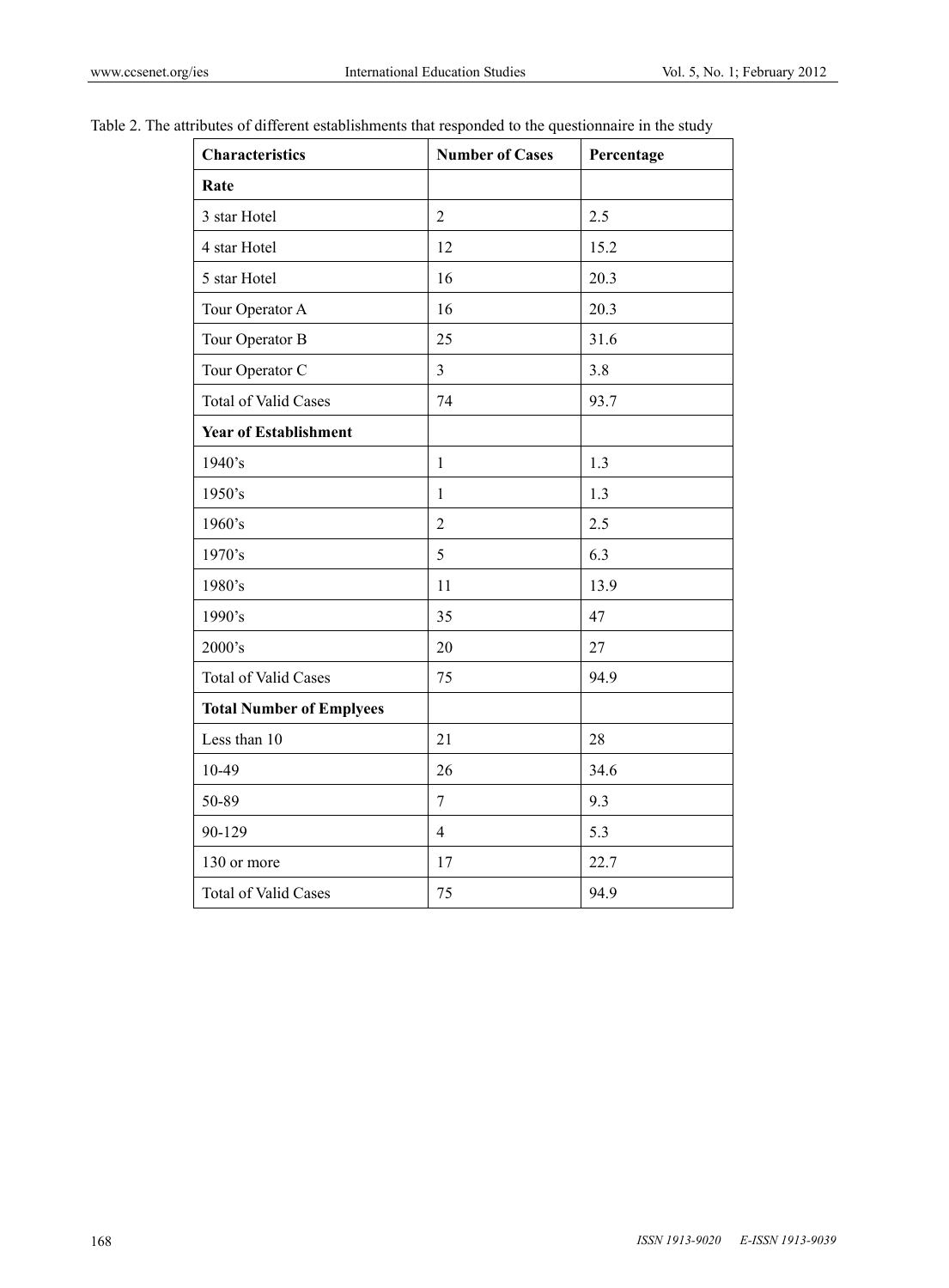|  | Table 2. The attributes of different establishments that responded to the questionnaire in the study |  |  |  |
|--|------------------------------------------------------------------------------------------------------|--|--|--|
|  |                                                                                                      |  |  |  |

| Characteristics                 | <b>Number of Cases</b> | Percentage |
|---------------------------------|------------------------|------------|
| Rate                            |                        |            |
| 3 star Hotel                    | $\overline{2}$         | 2.5        |
| 4 star Hotel                    | 12                     | 15.2       |
| 5 star Hotel                    | 16                     | 20.3       |
| Tour Operator A                 | 16                     | 20.3       |
| Tour Operator B                 | 25                     | 31.6       |
| Tour Operator C                 | $\overline{3}$         | 3.8        |
| <b>Total of Valid Cases</b>     | 74                     | 93.7       |
| <b>Year of Establishment</b>    |                        |            |
| 1940's                          | $\mathbf{1}$           | 1.3        |
| 1950's                          | $\mathbf{1}$           | 1.3        |
| 1960's                          | $\overline{2}$         | 2.5        |
| 1970's                          | 5                      | 6.3        |
| 1980's                          | 11                     | 13.9       |
| 1990's                          | 35                     | 47         |
| 2000's                          | 20                     | 27         |
| <b>Total of Valid Cases</b>     | 75                     | 94.9       |
| <b>Total Number of Emplyees</b> |                        |            |
| Less than 10                    | 21                     | 28         |
| 10-49                           | 26                     | 34.6       |
| 50-89                           | $\tau$                 | 9.3        |
| 90-129                          | 4                      | 5.3        |
| 130 or more                     | 17                     | 22.7       |
| <b>Total of Valid Cases</b>     | 75                     | 94.9       |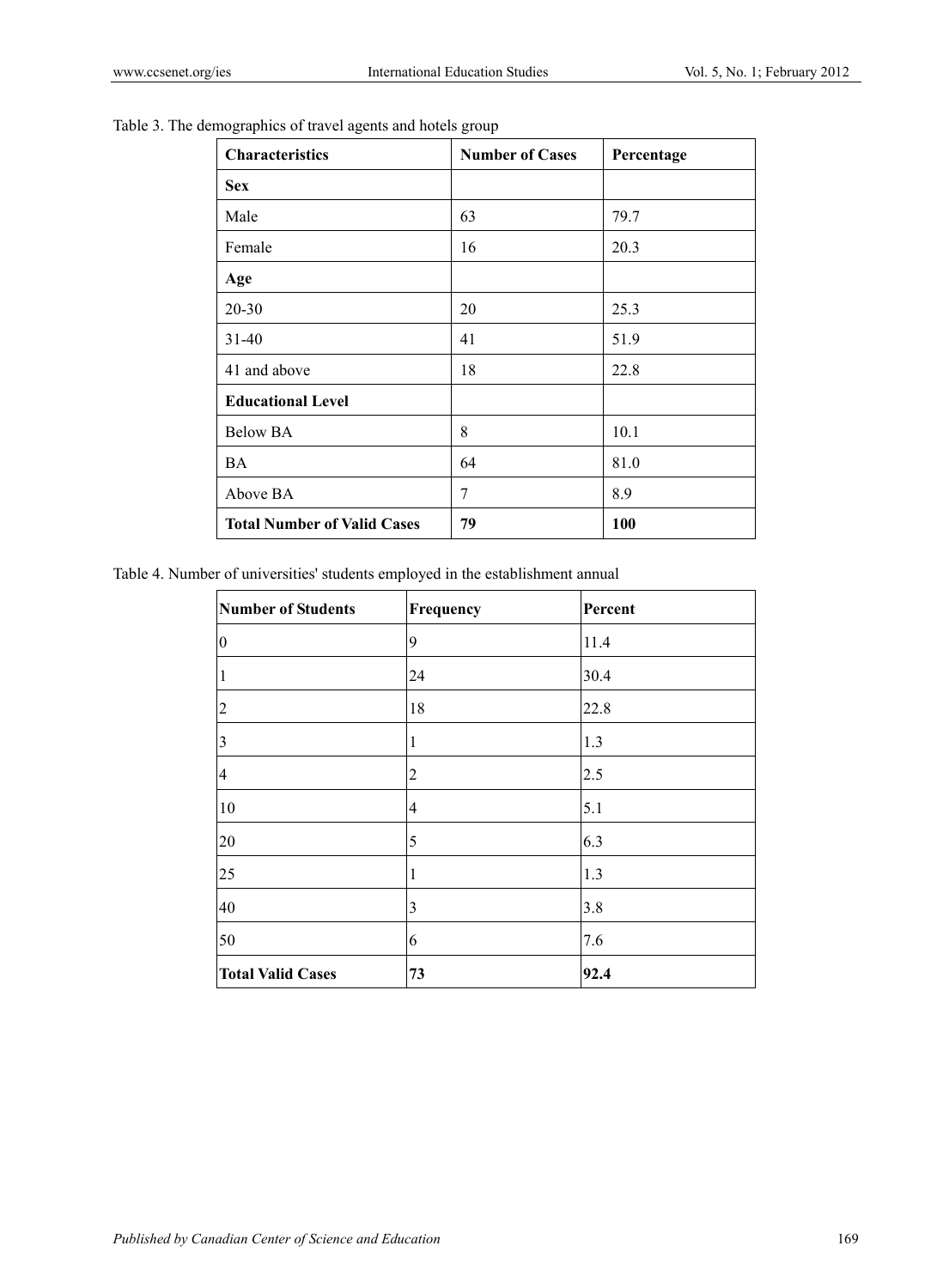| <b>Characteristics</b>             | <b>Number of Cases</b> | Percentage |  |  |
|------------------------------------|------------------------|------------|--|--|
| <b>Sex</b>                         |                        |            |  |  |
| Male                               | 63                     | 79.7       |  |  |
| Female                             | 16                     | 20.3       |  |  |
| Age                                |                        |            |  |  |
| 20-30                              | 20                     | 25.3       |  |  |
| $31 - 40$                          | 41                     | 51.9       |  |  |
| 41 and above                       | 18                     | 22.8       |  |  |
| <b>Educational Level</b>           |                        |            |  |  |
| <b>Below BA</b>                    | 8                      | 10.1       |  |  |
| BA                                 | 64                     | 81.0       |  |  |
| Above BA                           | 7                      | 8.9        |  |  |
| <b>Total Number of Valid Cases</b> | 79                     | 100        |  |  |

Table 3. The demographics of travel agents and hotels group

Table 4. Number of universities' students employed in the establishment annual

| <b>Number of Students</b> | Frequency | Percent |
|---------------------------|-----------|---------|
| $\boldsymbol{0}$          | 9         | 11.4    |
|                           | 24        | 30.4    |
| 2                         | 18        | 22.8    |
| 3                         | 1         | 1.3     |
| $\overline{4}$            | 2         | 2.5     |
| 10                        | 4         | 5.1     |
| 20                        | 5         | 6.3     |
| 25                        | 1         | 1.3     |
| 40                        | 3         | 3.8     |
| 50                        | 6         | 7.6     |
| <b>Total Valid Cases</b>  | 73        | 92.4    |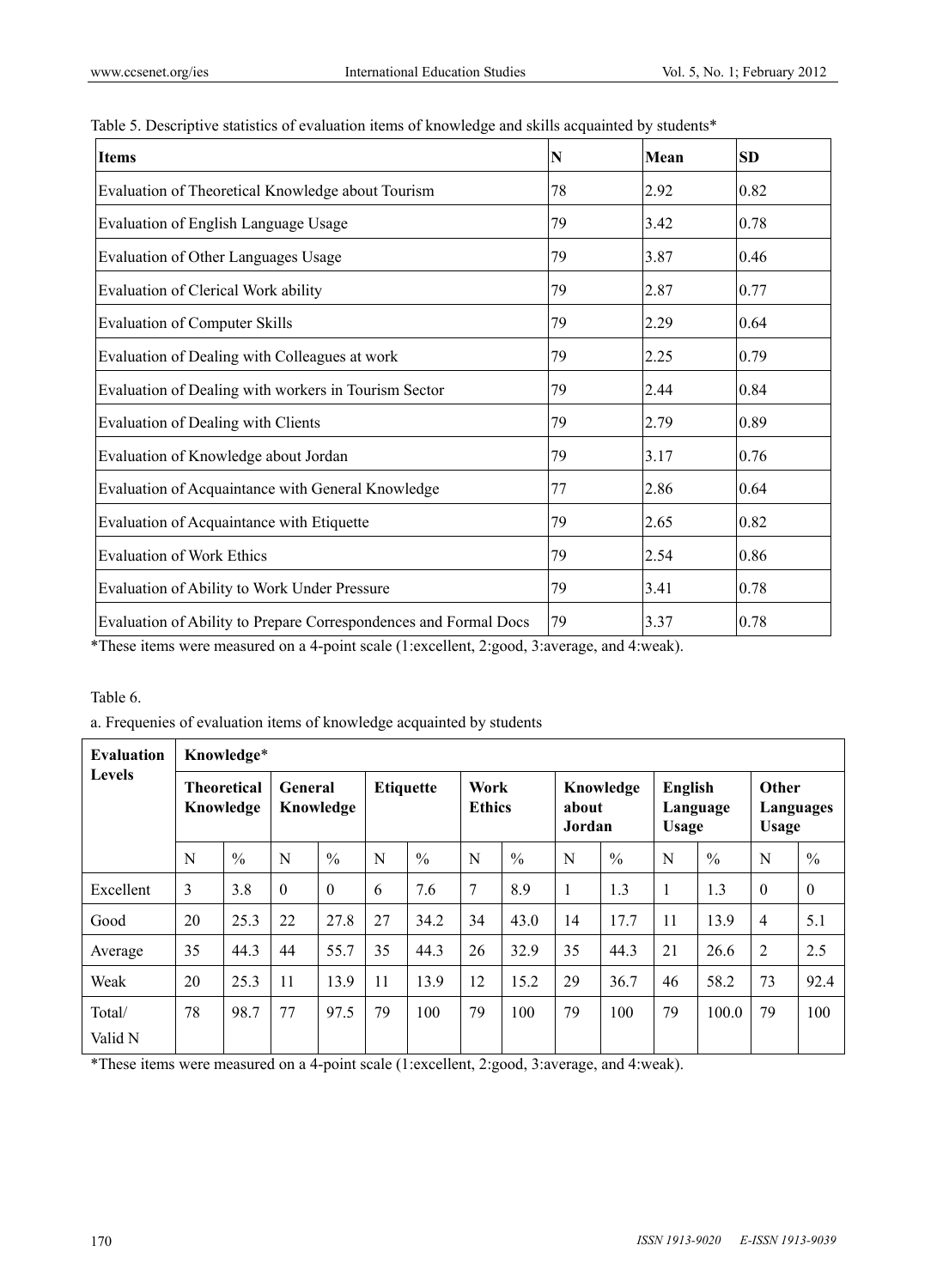| <b>Items</b>                                                     | N  | Mean | <b>SD</b> |
|------------------------------------------------------------------|----|------|-----------|
| Evaluation of Theoretical Knowledge about Tourism                | 78 | 2.92 | 0.82      |
| Evaluation of English Language Usage                             | 79 | 3.42 | 0.78      |
| Evaluation of Other Languages Usage                              | 79 | 3.87 | 0.46      |
| Evaluation of Clerical Work ability                              | 79 | 2.87 | 0.77      |
| <b>Evaluation of Computer Skills</b>                             | 79 | 2.29 | 0.64      |
| Evaluation of Dealing with Colleagues at work                    | 79 | 2.25 | 0.79      |
| Evaluation of Dealing with workers in Tourism Sector             | 79 | 2.44 | 0.84      |
| Evaluation of Dealing with Clients                               | 79 | 2.79 | 0.89      |
| Evaluation of Knowledge about Jordan                             | 79 | 3.17 | 0.76      |
| Evaluation of Acquaintance with General Knowledge                | 77 | 2.86 | 0.64      |
| Evaluation of Acquaintance with Etiquette                        | 79 | 2.65 | 0.82      |
| <b>Evaluation of Work Ethics</b>                                 | 79 | 2.54 | 0.86      |
| Evaluation of Ability to Work Under Pressure                     | 79 | 3.41 | 0.78      |
| Evaluation of Ability to Prepare Correspondences and Formal Docs | 79 | 3.37 | 0.78      |

|  | Table 5. Descriptive statistics of evaluation items of knowledge and skills acquainted by students* |  |  |  |
|--|-----------------------------------------------------------------------------------------------------|--|--|--|
|  |                                                                                                     |  |  |  |

\*These items were measured on a 4-point scale (1:excellent, 2:good, 3:average, and 4:weak).

Table 6.

a. Frequenies of evaluation items of knowledge acquainted by students

| <b>Evaluation</b> |                                 | Knowledge*    |                             |               |                  |               |                       |               |                              |               |                                     |               |                                           |               |  |
|-------------------|---------------------------------|---------------|-----------------------------|---------------|------------------|---------------|-----------------------|---------------|------------------------------|---------------|-------------------------------------|---------------|-------------------------------------------|---------------|--|
| <b>Levels</b>     | <b>Theoretical</b><br>Knowledge |               | <b>General</b><br>Knowledge |               | <b>Etiquette</b> |               | Work<br><b>Ethics</b> |               | Knowledge<br>about<br>Jordan |               | English<br>Language<br><b>Usage</b> |               | <b>Other</b><br>Languages<br><b>Usage</b> |               |  |
|                   | N                               | $\frac{0}{0}$ | N                           | $\frac{0}{0}$ | N                | $\frac{0}{0}$ | N                     | $\frac{0}{0}$ | N                            | $\frac{0}{0}$ | N                                   | $\frac{0}{0}$ | N                                         | $\frac{0}{0}$ |  |
| Excellent         | 3                               | 3.8           | $\theta$                    | $\theta$      | 6                | 7.6           | 7                     | 8.9           | 1                            | 1.3           |                                     | 1.3           | $\theta$                                  | $\theta$      |  |
| Good              | 20                              | 25.3          | 22                          | 27.8          | 27               | 34.2          | 34                    | 43.0          | 14                           | 17.7          | 11                                  | 13.9          | $\overline{4}$                            | 5.1           |  |
| Average           | 35                              | 44.3          | 44                          | 55.7          | 35               | 44.3          | 26                    | 32.9          | 35                           | 44.3          | 21                                  | 26.6          | $\overline{2}$                            | 2.5           |  |
| Weak              | 20                              | 25.3          | 11                          | 13.9          | 11               | 13.9          | 12                    | 15.2          | 29                           | 36.7          | 46                                  | 58.2          | 73                                        | 92.4          |  |
| Total/<br>Valid N | 78                              | 98.7          | 77                          | 97.5          | 79               | 100           | 79                    | 100           | 79                           | 100           | 79                                  | 100.0         | 79                                        | 100           |  |

\*These items were measured on a 4-point scale (1:excellent, 2:good, 3:average, and 4:weak).